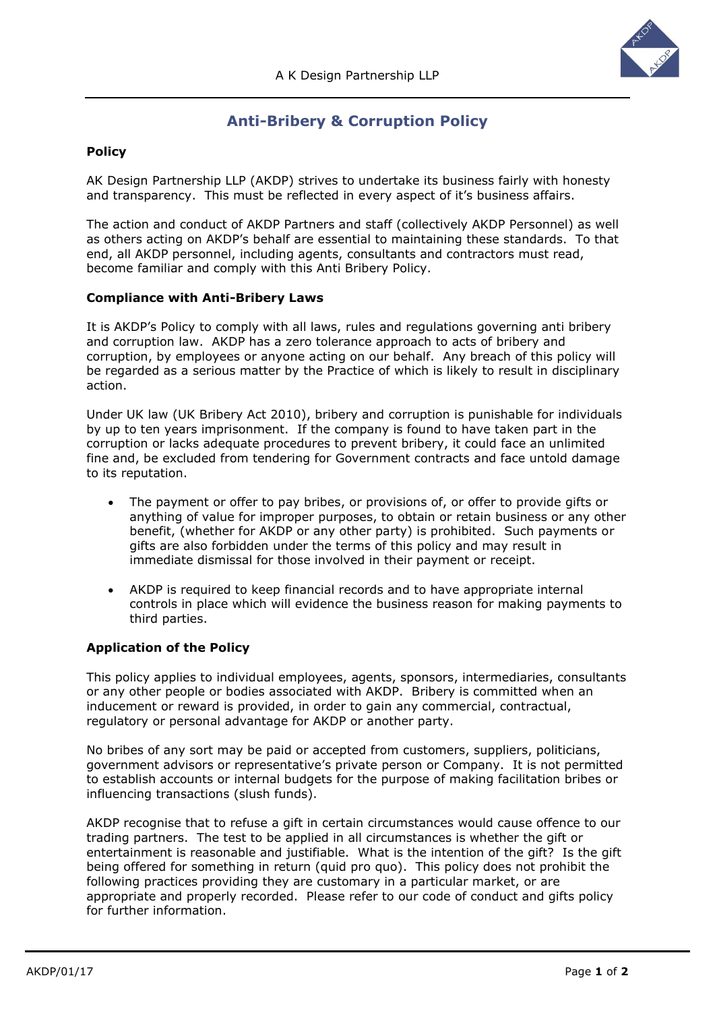

# **Anti-Bribery & Corruption Policy**

# **Policy**

AK Design Partnership LLP (AKDP) strives to undertake its business fairly with honesty and transparency. This must be reflected in every aspect of it's business affairs.

The action and conduct of AKDP Partners and staff (collectively AKDP Personnel) as well as others acting on AKDP's behalf are essential to maintaining these standards. To that end, all AKDP personnel, including agents, consultants and contractors must read, become familiar and comply with this Anti Bribery Policy.

#### **Compliance with Anti-Bribery Laws**

It is AKDP's Policy to comply with all laws, rules and regulations governing anti bribery and corruption law. AKDP has a zero tolerance approach to acts of bribery and corruption, by employees or anyone acting on our behalf. Any breach of this policy will be regarded as a serious matter by the Practice of which is likely to result in disciplinary action.

Under UK law (UK Bribery Act 2010), bribery and corruption is punishable for individuals by up to ten years imprisonment. If the company is found to have taken part in the corruption or lacks adequate procedures to prevent bribery, it could face an unlimited fine and, be excluded from tendering for Government contracts and face untold damage to its reputation.

- The payment or offer to pay bribes, or provisions of, or offer to provide gifts or anything of value for improper purposes, to obtain or retain business or any other benefit, (whether for AKDP or any other party) is prohibited. Such payments or gifts are also forbidden under the terms of this policy and may result in immediate dismissal for those involved in their payment or receipt.
- AKDP is required to keep financial records and to have appropriate internal controls in place which will evidence the business reason for making payments to third parties.

# **Application of the Policy**

This policy applies to individual employees, agents, sponsors, intermediaries, consultants or any other people or bodies associated with AKDP. Bribery is committed when an inducement or reward is provided, in order to gain any commercial, contractual, regulatory or personal advantage for AKDP or another party.

No bribes of any sort may be paid or accepted from customers, suppliers, politicians, government advisors or representative's private person or Company. It is not permitted to establish accounts or internal budgets for the purpose of making facilitation bribes or influencing transactions (slush funds).

AKDP recognise that to refuse a gift in certain circumstances would cause offence to our trading partners. The test to be applied in all circumstances is whether the gift or entertainment is reasonable and justifiable. What is the intention of the gift? Is the gift being offered for something in return (quid pro quo). This policy does not prohibit the following practices providing they are customary in a particular market, or are appropriate and properly recorded. Please refer to our code of conduct and gifts policy for further information.